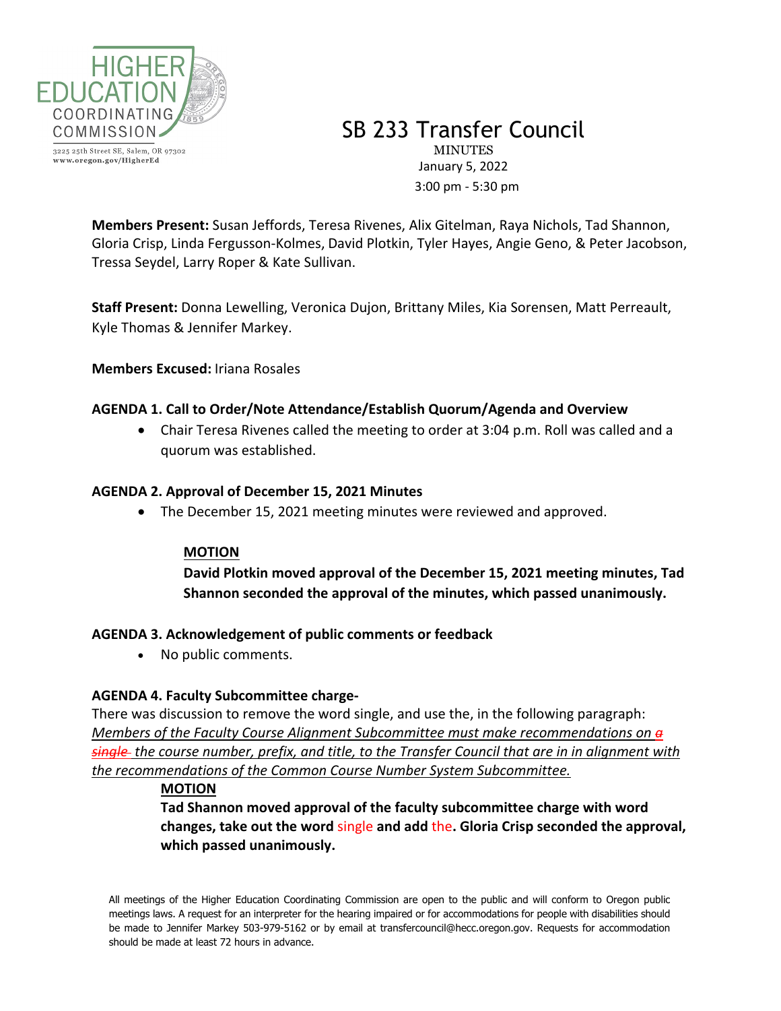

3225 25th Street SE, Salem, OR 97302 www.oregon.gov/HigherEd

SB 233 Transfer Council **MINUTES** January 5, 2022 3:00 pm - 5:30 pm

**Members Present:** Susan Jeffords, Teresa Rivenes, Alix Gitelman, Raya Nichols, Tad Shannon, Gloria Crisp, Linda Fergusson-Kolmes, David Plotkin, Tyler Hayes, Angie Geno, & Peter Jacobson, Tressa Seydel, Larry Roper & Kate Sullivan.

**Staff Present:** Donna Lewelling, Veronica Dujon, Brittany Miles, Kia Sorensen, Matt Perreault, Kyle Thomas & Jennifer Markey.

**Members Excused:** Iriana Rosales

# **AGENDA 1. Call to Order/Note Attendance/Establish Quorum/Agenda and Overview**

• Chair Teresa Rivenes called the meeting to order at 3:04 p.m. Roll was called and a quorum was established.

#### **AGENDA 2. Approval of December 15, 2021 Minutes**

• The December 15, 2021 meeting minutes were reviewed and approved.

# **MOTION**

**David Plotkin moved approval of the December 15, 2021 meeting minutes, Tad Shannon seconded the approval of the minutes, which passed unanimously.**

#### **AGENDA 3. Acknowledgement of public comments or feedback**

• No public comments.

# **AGENDA 4. Faculty Subcommittee charge-**

There was discussion to remove the word single, and use the, in the following paragraph: *Members of the Faculty Course Alignment Subcommittee must make recommendations on a single the course number, prefix, and title, to the Transfer Council that are in in alignment with the recommendations of the Common Course Number System Subcommittee.*

#### **MOTION**

**Tad Shannon moved approval of the faculty subcommittee charge with word changes, take out the word** single **and add** the**. Gloria Crisp seconded the approval, which passed unanimously.** 

All meetings of the Higher Education Coordinating Commission are open to the public and will conform to Oregon public meetings laws. A request for an interpreter for the hearing impaired or for accommodations for people with disabilities should be made to Jennifer Markey 503-979-5162 or by email at transfercouncil@hecc.oregon.gov. Requests for accommodation should be made at least 72 hours in advance.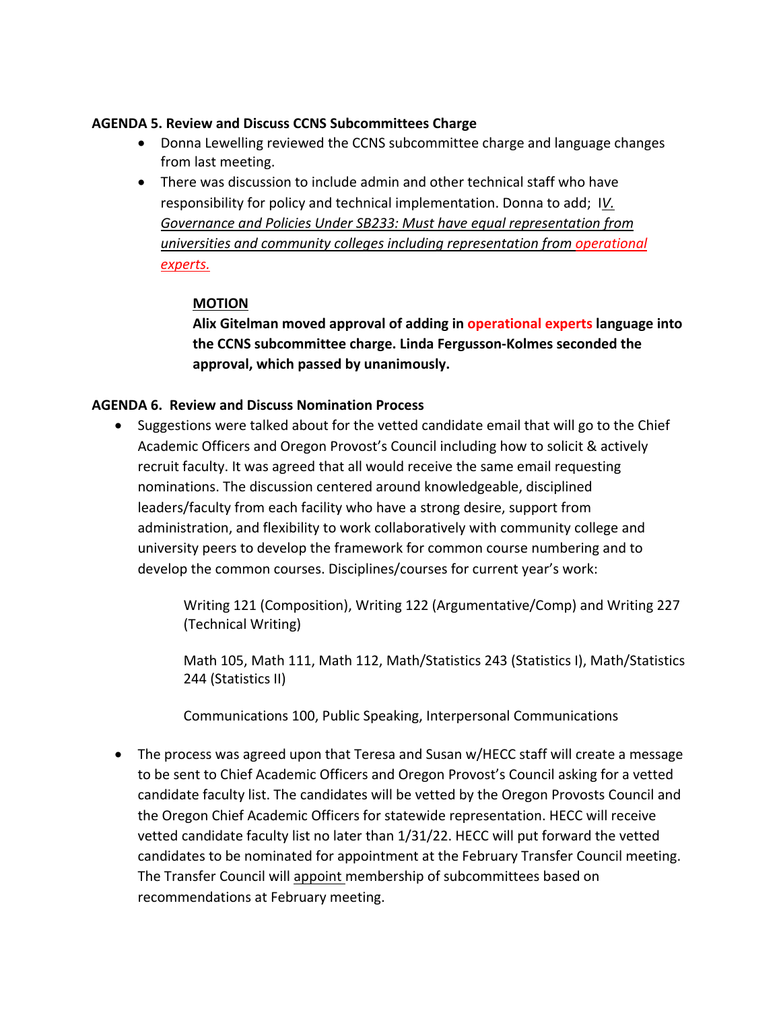# **AGENDA 5. Review and Discuss CCNS Subcommittees Charge**

- Donna Lewelling reviewed the CCNS subcommittee charge and language changes from last meeting.
- There was discussion to include admin and other technical staff who have responsibility for policy and technical implementation. Donna to add; I*V. Governance and Policies Under SB233: Must have equal representation from universities and community colleges including representation from operational experts.*

#### **MOTION**

**Alix Gitelman moved approval of adding in operational experts language into the CCNS subcommittee charge. Linda Fergusson-Kolmes seconded the approval, which passed by unanimously.** 

#### **AGENDA 6. Review and Discuss Nomination Process**

• Suggestions were talked about for the vetted candidate email that will go to the Chief Academic Officers and Oregon Provost's Council including how to solicit & actively recruit faculty. It was agreed that all would receive the same email requesting nominations. The discussion centered around knowledgeable, disciplined leaders/faculty from each facility who have a strong desire, support from administration, and flexibility to work collaboratively with community college and university peers to develop the framework for common course numbering and to develop the common courses. Disciplines/courses for current year's work:

> Writing 121 (Composition), Writing 122 (Argumentative/Comp) and Writing 227 (Technical Writing)

Math 105, Math 111, Math 112, Math/Statistics 243 (Statistics I), Math/Statistics 244 (Statistics II)

Communications 100, Public Speaking, Interpersonal Communications

• The process was agreed upon that Teresa and Susan w/HECC staff will create a message to be sent to Chief Academic Officers and Oregon Provost's Council asking for a vetted candidate faculty list. The candidates will be vetted by the Oregon Provosts Council and the Oregon Chief Academic Officers for statewide representation. HECC will receive vetted candidate faculty list no later than 1/31/22. HECC will put forward the vetted candidates to be nominated for appointment at the February Transfer Council meeting. The Transfer Council will appoint membership of subcommittees based on recommendations at February meeting.